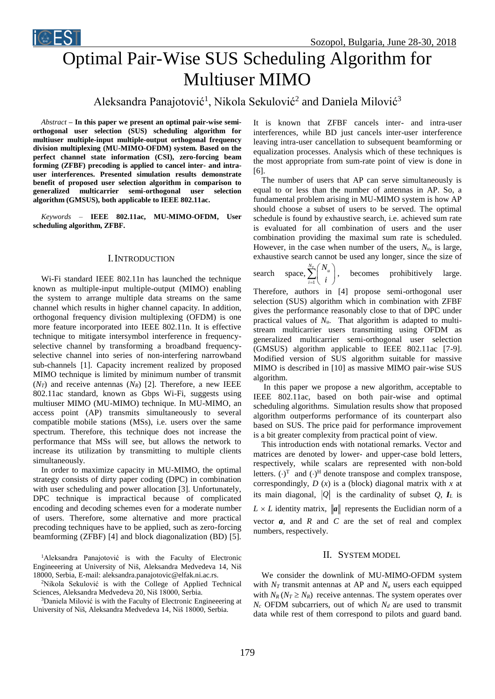

# Optimal Pair-Wise SUS Scheduling Algorithm for Multiuser MIMO

Aleksandra Panajotović<sup>1</sup>, Nikola Sekulović<sup>2</sup> and Daniela Milović<sup>3</sup>

*Abstract* **– In this paper we present an optimal pair-wise semiorthogonal user selection (SUS) scheduling algorithm for multiuser multiple-input multiple-output orthogonal frequency division multiplexing (MU-MIMO-OFDM) system. Based on the perfect channel state information (CSI), zero-forcing beam forming (ZFBF) precoding is applied to cancel inter- and intrauser interferences. Presented simulation results demonstrate benefit of proposed user selection algorithm in comparison to generalized multicarrier semi-orthogonal user selection algorithm (GMSUS), both applicable to IEEE 802.11ac.** 

*Keywords –* **IEEE 802.11ac, MU-MIMO-OFDM, User scheduling algorithm, ZFBF.**

# I. INTRODUCTION

Wi-Fi standard IEEE 802.11n has launched the technique known as multiple-input multiple-output (MIMO) enabling the system to arrange multiple data streams on the same channel which results in higher channel capacity. In addition, orthogonal frequency division multiplexing (OFDM) is one more feature incorporated into IEEE 802.11n. It is effective technique to mitigate intersymbol interference in frequencyselective channel by transforming a broadband frequencyselective channel into series of non-interfering narrowband sub-channels [1]. Capacity increment realized by proposed MIMO technique is limited by minimum number of transmit  $(N_T)$  and receive antennas  $(N_R)$  [2]. Therefore, a new IEEE 802.11ac standard, known as Gbps Wi-Fi, suggests using multiuser MIMO (MU-MIMO) technique. In MU-MIMO, an access point (AP) transmits simultaneously to several compatible mobile stations (MSs), i.e. users over the same spectrum. Therefore, this technique does not increase the performance that MSs will see, but allows the network to increase its utilization by transmitting to multiple clients simultaneously.

In order to maximize capacity in MU-MIMO, the optimal strategy consists of dirty paper coding (DPC) in combination with user scheduling and power allocation [3]. Unfortunately, DPC technique is impractical because of complicated encoding and decoding schemes even for a moderate number of users. Therefore, some alternative and more practical precoding techniques have to be applied, such as zero-forcing beamforming (ZFBF) [4] and block diagonalization (BD) [5].

<sup>1</sup>Aleksandra Panajotović is with the Faculty of Electronic Engineeering at University of Niš, Aleksandra Medvedeva 14, Niš 18000, Serbia, E-mail: aleksandra.panajotovic@elfak.ni.ac.rs.

<sup>2</sup>Nikola Sekulović is with the College of Applied Technical Sciences, Aleksandra Medvedeva 20, Niš 18000, Serbia.

<sup>3</sup>Daniela Milović is with the Faculty of Electronic Engineeering at University of Niš, Aleksandra Medvedeva 14, Niš 18000, Serbia.

It is known that ZFBF cancels inter- and intra-user interferences, while BD just cancels inter-user interference leaving intra-user cancellation to subsequent beamforming or equalization processes. Analysis which of these techniques is the most appropriate from sum-rate point of view is done in [6].

The number of users that AP can serve simultaneously is equal to or less than the number of antennas in AP. So, a fundamental problem arising in MU-MIMO system is how AP should choose a subset of users to be served. The optimal schedule is found by exhaustive search, i.e. achieved sum rate is evaluated for all combination of users and the user combination providing the maximal sum rate is scheduled. However, in the case when number of the users,  $N_u$ , is large, exhaustive search cannot be used any longer, since the size of

search space,  $\sum_{i=1}^{\infty}$  $\sum_{u}^{N_T}$   $\left(N_u\right)$ *i N*  $\sum_{i=1}^{N_T} \binom{N_u}{i}$ , becomes prohibitively large.

Therefore, authors in [4] propose semi-orthogonal user selection (SUS) algorithm which in combination with ZFBF gives the performance reasonably close to that of DPC under practical values of  $N<sub>u</sub>$ . That algorithm is adapted to multistream multicarrier users transmitting using OFDM as generalized multicarrier semi-orthogonal user selection (GMSUS) algorithm applicable to IEEE 802.11ac [7-9]. Modified version of SUS algorithm suitable for massive MIMO is described in [10] as massive MIMO pair-wise SUS algorithm.

In this paper we propose a new algorithm, acceptable to IEEE 802.11ac, based on both pair-wise and optimal scheduling algorithms. Simulation results show that proposed algorithm outperforms performance of its counterpart also based on SUS. The price paid for performance improvement is a bit greater complexity from practical point of view.

This introduction ends with notational remarks. Vector and matrices are denoted by lower- and upper-case bold letters, respectively, while scalars are represented with non-bold letters.  $(\cdot)^T$  and  $(\cdot)^H$  denote transpose and complex transpose, correspondingly, *D* (*x*) is a (block) diagonal matrix with *x* at its main diagonal,  $|Q|$  is the cardinality of subset  $Q$ ,  $I_L$  is  $L \times L$  identity matrix,  $\|\boldsymbol{a}\|$  represents the Euclidian norm of a vector  $a$ , and  $R$  and  $C$  are the set of real and complex numbers, respectively.

## II. SYSTEM MODEL

We consider the downlink of MU-MIMO-OFDM system with  $N_T$  transmit antennas at AP and  $N_u$  users each equipped with  $N_R$   $(N_T \geq N_R)$  receive antennas. The system operates over  $N_c$  OFDM subcarriers, out of which  $N_d$  are used to transmit data while rest of them correspond to pilots and guard band.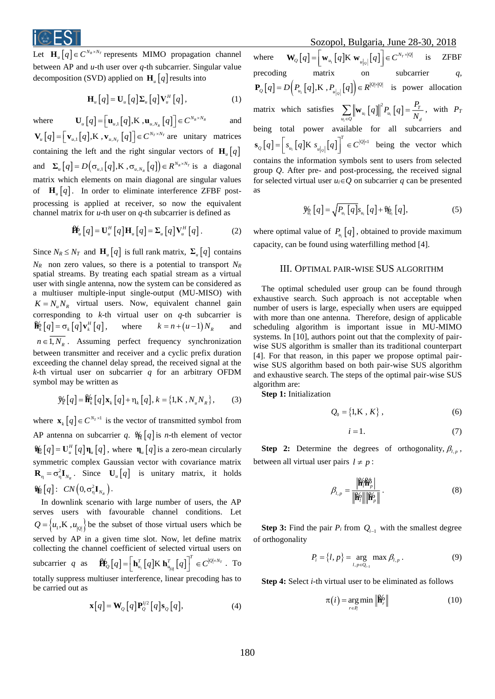

Let  $\mathbf{H}_{u}[q] \in C^{N_R \times N_T}$  represents MIMO propagation channel between AP and *u*-th user over *q*-th subcarrier. Singular value decomposition (SVD) applied on  $\mathbf{H}_{u}[q]$  results into

$$
\mathbf{H}_{u}\left[q\right] = \mathbf{U}_{u}\left[q\right]\mathbf{\Sigma}_{u}\left[q\right]\mathbf{V}_{u}^{H}\left[q\right],\tag{1}
$$

where  $\mathbf{U}_{u}\left[q\right] = \left[\mathbf{u}_{u,1}\left[q\right],\mathbf{K}\right], \mathbf{u}_{u,N_{R}}\left[q\right]\right] \in C^{N_{R} \times N_{R}}$ and  $\left[ q\right] =\left| {\right.}{\left. {{{\bf{v}}_{u,1}}\left[ q \right]},{\rm K}} \right.,{{\bf{v}}_{u,N_T}}\left[ q \right]\right| \in {C^{N_T \times N_T}}$  $\mathbf{V}_{u} [q] = [\mathbf{v}_{u,1} [q], \mathbf{K}, \mathbf{v}_{u, N_T} [q]] \in C^{N_T \times N_T}$  are unitary matrices containing the left and the right singular vectors of  $\mathbf{H}_{u}$  [q] and  $\Sigma_{\mu}[q] = D(\sigma_{\mu,1}[q], K, \sigma_{\mu, N_R}[q]) \in R^{N_R \times N_T}$  $\sum_{\mu} [q] = D(\sigma_{\mu,1}[q], K, \sigma_{\mu,N_{\mu}}[q]) \in R^{N_R \times N_T}$  is a diagonal matrix which elements on main diagonal are singular values of  $\mathbf{H}_{u}[q]$ . In order to eliminate interference ZFBF postprocessing is applied at receiver, so now the equivalent channel matrix for *u*-th user on *q*-th subcarrier is defined as

$$
\mathbf{\hat{H}}_{u}[q] = \mathbf{U}_{u}^{H}[q] \mathbf{H}_{u}[q] = \Sigma_{u}[q] \mathbf{V}_{u}^{H}[q]. \tag{2}
$$

Since  $N_R \leq N_T$  and  $\mathbf{H}_{\mu}[q]$  is full rank matrix,  $\Sigma_{\mu}[q]$  contains  $N_R$  non zero values, so there is a potential to transport  $N_R$ spatial streams. By treating each spatial stream as a virtual user with single antenna, now the system can be considered as a multiuser multiple-input single-output (MU-MISO) with  $K = N_u N_R$  virtual users. Now, equivalent channel gain corresponding to *k*-th virtual user on *q*-th subcarrier is  $\mathbf{H}_k^{\mathbf{b}}[q] = \sigma_k[q] \mathbf{v}_k^H[q], \text{ where } k = n + (n-1)N_R$ and  $n \in 1, N_R$ . Assuming perfect frequency synchronization between transmitter and receiver and a cyclic prefix duration exceeding the channel delay spread, the received signal at the *k*-th virtual user on subcarrier *q* for an arbitrary OFDM symbol may be written as

$$
\mathcal{Y}_{k}[q] = \mathbf{\hat{H}}_{k}[q] \mathbf{x}_{k}[q] + \eta_{k}[q], k = \{1, \mathbf{K}, N_{u} N_{R}\},
$$
 (3)

where  $\mathbf{x}_{k}[q] \in C^{N_{T} \times 1}$  is the vector of transmitted symbol from AP antenna on subcarrier q.  $\mathcal{H}_{k}[q]$  is *n*-th element of vector  $\mathbf{W}_{\mu} [q] = \mathbf{U}_{\mu}^H [q] \mathbf{\eta}_{\mu} [q]$ , where  $\mathbf{\eta}_{\mu} [q]$  is a zero-mean circularly symmetric complex Gaussian vector with covariance matrix  $\mathbf{R}_{\eta} = \sigma_{\eta}^2 \mathbf{I}_{N_R}$ . Since  $\mathbf{U}_{\mu} [q]$  is unitary matrix, it holds  $\mathcal{H}_{\!\!\!\mu}\left[q\right]$ :  $CN\!\left(0,\sigma_{\eta}^{2}\mathbf{I}_{N_{_{R}}}\right)$ . *R*

In downlink scenario with large number of users, the AP serves users with favourable channel conditions. Let  $Q = \{u_1, K, u_{|Q|}\}$  be the subset of those virtual users which be served by AP in a given time slot. Now, let define matrix collecting the channel coefficient of selected virtual users on subcarrier *q* as  $\left[ \, q \, \right] \! = \! \left[ \, \mathbf{h}_{\scriptscriptstyle u_1}^{ \mathrm{\scriptscriptstyle T} } \, \big[ \, q \, \big] \mathrm{K} \; \mathbf{h}_{\scriptscriptstyle u_{\scriptscriptstyle [Q]}}^{ \mathrm{\scriptscriptstyle T} } \, \big[ \, q \, \big] \, \right] \ \ \in C^{|\mathcal{Q}| \times N_T}$  $\hat{\mathbf{H}}_{Q}^{k}[q] = \left[\mathbf{h}_{u_{1}}^{T}[q] \mathbf{K} \mathbf{h}_{u_{|Q|}}^{T}[q]\right]^{T} \in C^{|Q| \times N_{T}}$ . To totally suppress multiuser interference, linear precoding has to be carried out as

$$
\mathbf{x}[q] = \mathbf{W}_Q[q] \mathbf{P}_Q^{1/2}[q] \mathbf{s}_Q[q],\tag{4}
$$

Sozopol, Bulgaria, June 28-30, 2018

where  $\left[ q\right] = \mid \mathbf{w}_{u_{1}}\left[ q\right]$ K  $\mathbf{w}_{u|_{\alpha}}\left[ q\right] \mid \in C^{N_{\gamma}}$ *Q*  $\mathbf{W}_{Q}\left[q\right]=\left[\mathbf{w}_{u_{1}}\left[q\right]\mathbf{K}|\mathbf{w}_{u|_{Q}}\right]\left[q\right]\right]\in C^{N_{T}\times\left|Q\right|}$ is ZFBF precoding matrix on subcarrier *q*,  $\left[ q\right] = D\Big( P_{_{_{\mathit{u}_1}}}\big[ q\big],\!{\rm K}\; , P_{_{\mathit{u}\left|_{\mathit{Q}}\right|}}\big[ q\big]\!\Big) \cdot$  $P_{Q}[q] = D[P_{u_{1}}[q], K, P_{u_{2}}[q]] \in R^{|Q| \times |Q|}$  is power allocation matrix which satisfies  $\sum \|\mathbf{w}_{u_i}[q]\|^2 P_{u_i}[q]$ *i i i*  $\sum_{u_i \in Q} \left\| \mathbf{w}_{u_i} \left[ q \right] \right\|^{2} P_{u_i} \left[ q \right] = \frac{1}{N}$  $\sum_{u_i \in O} \left\| \mathbf{w}_{u_i} \left[ q \right] \right\|^2 P_{u_i} \left[ q \right] = \frac{P_T}{N_d}, \text{ with } P_T$ being total power available for all subcarriers and  $\left[ q\right] = \left| \begin{array}{c} s_{u_{1}} \left[ q\right]$ K  $\begin{array}{c} s_{u|_{0}} \left[ q\right] \end{array} \right| \in C^{\left| \mathcal{Q}\right| \times 1}$ *Q*  $\mathbf{S}_{Q}[q] = \left[s_{u_{1}}[q]\mathbf{K} \ s_{u_{q|Q}}[q]\right]^{T} \in C^{|Q| \times 1}$  being the vector which contains the information symbols sent to users from selected group *Q*. After pre- and post-processing, the received signal for selected virtual user  $u_i \in Q$  on subcarrier q can be presented as

$$
\mathcal{Y}_{n_i} [q] = \sqrt{P_{u_i} [q]} s_{u_i} [q] + \mathcal{V}_{n_i} [q], \qquad (5)
$$

where optimal value of  $P_{u_i}[q]$ , obtained to provide maximum capacity, can be found using waterfilling method [4].

## III. OPTIMAL PAIR-WISE SUS ALGORITHM

The optimal scheduled user group can be found through exhaustive search. Such approach is not acceptable when number of users is large, especially when users are equipped with more than one antenna. Therefore, design of applicable scheduling algorithm is important issue in MU-MIMO systems. In [10], authors point out that the complexity of pairwise SUS algorithm is smaller than its traditional counterpart [4]. For that reason, in this paper we propose optimal pairwise SUS algorithm based on both pair-wise SUS algorithm and exhaustive search. The steps of the optimal pair-wise SUS algorithm are:

**Step 1:** Initialization

$$
Q_0 = \{1, K, K\},
$$
 (6)

$$
i = 1.\t\t(7)
$$

**Step 2:** Determine the degrees of orthogonality,  $\beta_{l,p}$ , between all virtual user pairs  $l \neq p$ :

$$
\beta_{l,p} = \frac{\left| \mathbf{\hat{H}}_l^{\rho} \mathbf{\hat{H}}_p^{\sigma} \right|}{\left\| \mathbf{\hat{H}}_l^{\rho} \right\| \left\| \mathbf{\hat{H}}_p^{\rho} \right\|} . \tag{8}
$$

**Step 3:** Find the pair  $P_i$  from  $Q_{i-1}$  with the smallest degree of orthogonality

$$
P_i = \{l, p\} = \underset{l, p \in Q_{i-1}}{\arg} \max \beta_{l, p} . \tag{9}
$$

**Step 4:** Select *i*-th virtual user to be eliminated as follows

$$
\pi(i) = \underset{r \in P_i}{\arg \min} \|\mathbf{H}_r\| \tag{10}
$$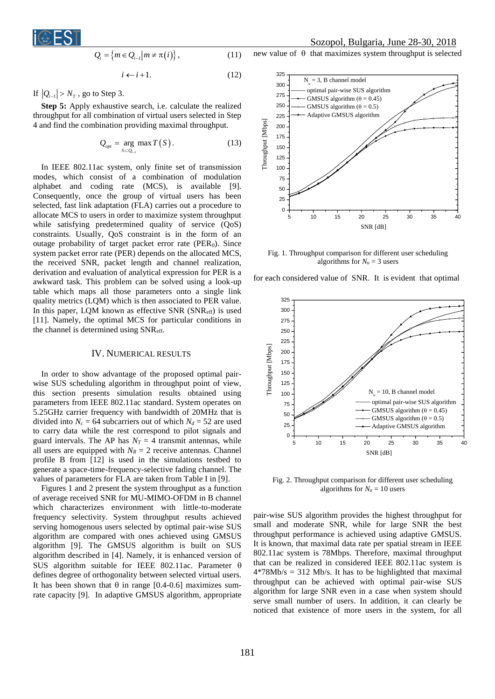

$$
Q_i = \left\{ m \in Q_{i-1} \middle| m \neq \pi(i) \right\},\tag{11}
$$

$$
i \leftarrow i+1. \tag{12}
$$

If  $|Q_{i-1}| > N_T$ , go to Step 3.

**Step 5:** Apply exhaustive search, i.e. calculate the realized throughput for all combination of virtual users selected in Step 4 and find the combination providing maximal throughput.

$$
Q_{opt} = \underset{S \subset Q_{i-1}}{\arg \max} T(S). \tag{13}
$$

In IEEE 802.11ac system, only finite set of transmission modes, which consist of a combination of modulation alphabet and coding rate (MCS), is available [9]. Consequently, once the group of virtual users has been selected, fast link adaptation (FLA) carries out a procedure to allocate MCS to users in order to maximize system throughput while satisfying predetermined quality of service (QoS) constraints. Usually, QoS constraint is in the form of an outage probability of target packet error rate ( $PER<sub>0</sub>$ ). Since system packet error rate (PER) depends on the allocated MCS, the received SNR, packet length and channel realization, derivation and evaluation of analytical expression for PER is a awkward task. This problem can be solved using a look-up table which maps all those parameters onto a single link quality metrics (LQM) which is then associated to PER value. In this paper, LQM known as effective SNR (SNReff) is used [11]. Namely, the optimal MCS for particular conditions in the channel is determined using SNReff.

#### IV. NUMERICAL RESULTS

In order to show advantage of the proposed optimal pairwise SUS scheduling algorithm in throughput point of view, this section presents simulation results obtained using parameters from IEEE 802.11ac standard. System operates on 5.25GHz carrier frequency with bandwidth of 20MHz that is divided into  $N_c = 64$  subcarriers out of which  $N_d = 52$  are used to carry data while the rest correspond to pilot signals and guard intervals. The AP has  $N_T = 4$  transmit antennas, while all users are equipped with  $N_R = 2$  receive antennas. Channel profile B from [12] is used in the simulations testbed to generate a space-time-frequency-selective fading channel. The values of parameters for FLA are taken from Table I in [9].

Figures 1 and 2 present the system throughput as a function of average received SNR for MU-MIMO-OFDM in B channel which characterizes environment with little-to-moderate frequency selectivity. System throughput results achieved serving homogenous users selected by optimal pair-wise SUS algorithm are compared with ones achieved using GMSUS algorithm [9]. The GMSUS algorithm is built on SUS algorithm described in [4]. Namely, it is enhanced version of SUS algorithm suitable for IEEE 802.11ac. Parameter  $\theta$ defines degree of orthogonality between selected virtual users. It has been shown that  $\theta$  in range [0.4-0.6] maximizes sumrate capacity [9]. In adaptive GMSUS algorithm, appropriate

# Sozopol, Bulgaria, June 28-30, 2018

new value of  $\theta$  that maximizes system throughput is selected



Fig. 1. Throughput comparison for different user scheduling algorithms for  $N_u = 3$  users

for each considered value of SNR. It is evident that optimal



Fig. 2. Throughput comparison for different user scheduling algorithms for  $N_u = 10$  users

pair-wise SUS algorithm provides the highest throughput for small and moderate SNR, while for large SNR the best throughput performance is achieved using adaptive GMSUS. It is known, that maximal data rate per spatial stream in IEEE 802.11ac system is 78Mbps. Therefore, maximal throughput that can be realized in considered IEEE 802.11ac system is  $4*78Mb/s = 312 Mb/s$ . It has to be highlighted that maximal throughput can be achieved with optimal pair-wise SUS algorithm for large SNR even in a case when system should serve small number of users. In addition, it can clearly be noticed that existence of more users in the system, for all